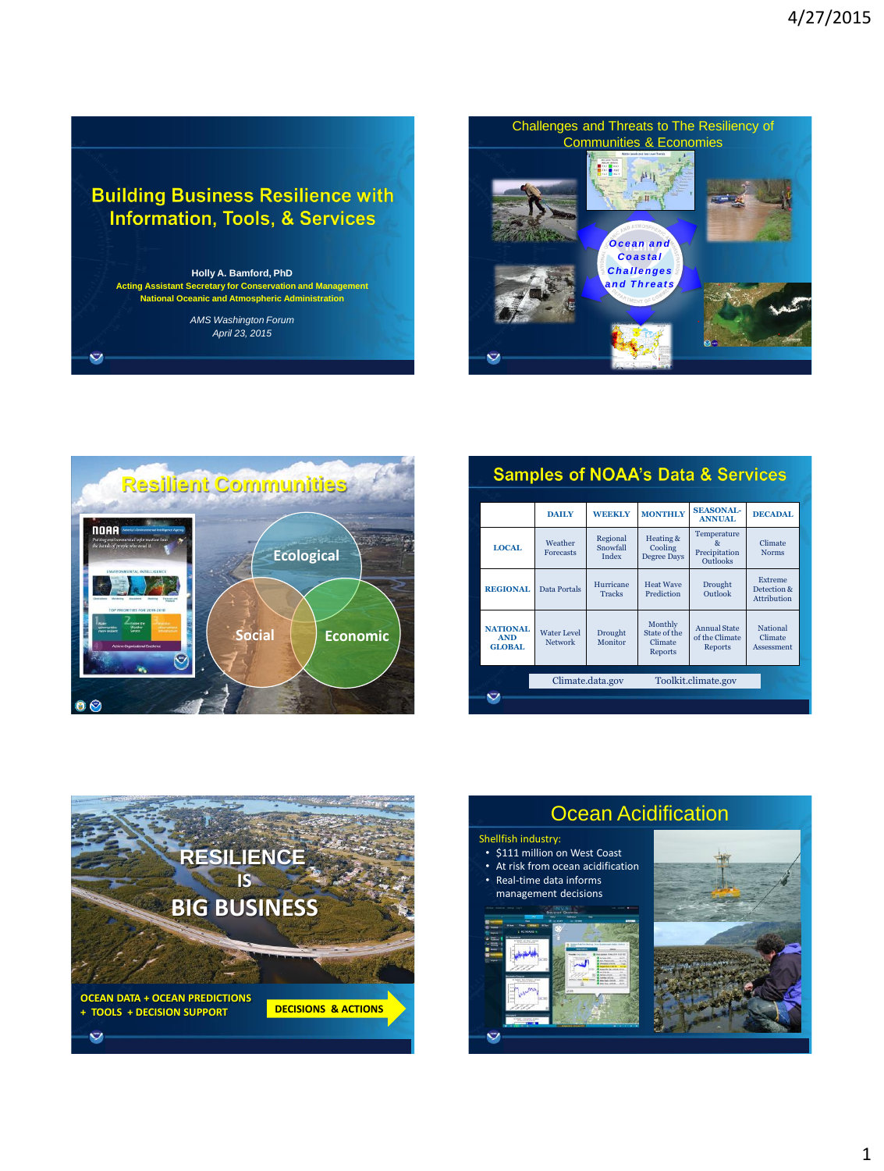## **Building Business Resilience with Information, Tools, & Services**

**Holly A. Bamford, PhD Acting Assistant Secretary for Conservation and Management National Oceanic and Atmospheric Administration**

> *AMS Washington Forum April 23, 2015*

 $\ddot{\mathbf{v}}$ 





| <b>Samples of NOAA's Data &amp; Services</b> |                                                |                                      |                               |                                               |                                                         |                                                     |
|----------------------------------------------|------------------------------------------------|--------------------------------------|-------------------------------|-----------------------------------------------|---------------------------------------------------------|-----------------------------------------------------|
|                                              |                                                |                                      |                               |                                               |                                                         |                                                     |
|                                              |                                                | <b>DAILY</b>                         | <b>WEEKLY</b>                 | <b>MONTHLY</b>                                | <b>SEASONAL-</b><br><b>ANNUAL</b>                       | <b>DECADAL</b>                                      |
|                                              | <b>LOCAL</b>                                   | Weather<br><b>Forecasts</b>          | Regional<br>Snowfall<br>Index | Heating &<br>Cooling<br><b>Degree Days</b>    | Temperature<br>8r<br>Precipitation<br><b>Outlooks</b>   | Climate<br><b>Norms</b>                             |
|                                              | <b>REGIONAL</b>                                | Data Portals                         | Hurricane<br><b>Tracks</b>    | <b>Heat Wave</b><br>Prediction                | Drought<br>Outlook                                      | <b>Extreme</b><br>Detection &<br><b>Attribution</b> |
|                                              | <b>NATIONAL</b><br><b>AND</b><br><b>GLOBAL</b> | <b>Water Level</b><br><b>Network</b> | Drought<br>Monitor            | Monthly<br>State of the<br>Climate<br>Reports | <b>Annual State</b><br>of the Climate<br><b>Reports</b> | <b>National</b><br>Climate<br>Assessment            |
|                                              |                                                | Climate.data.gov                     |                               | Toolkit.climate.gov                           |                                                         |                                                     |
|                                              |                                                |                                      |                               |                                               |                                                         |                                                     |